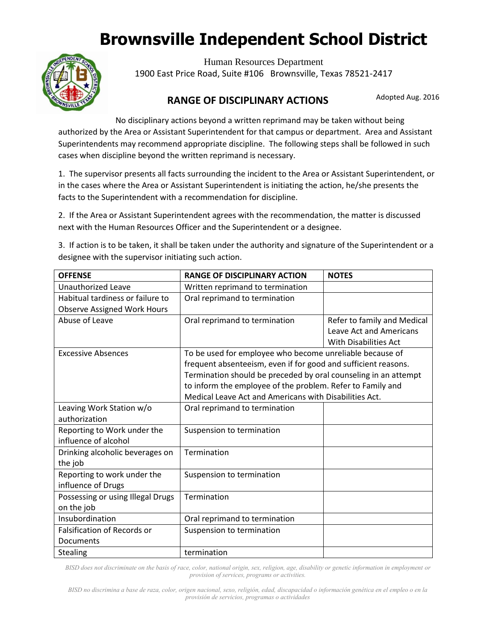# **Brownsville Independent School District**



Human Resources Department 1900 East Price Road, Suite #106 Brownsville, Texas 78521-2417

#### Adopted Aug. 2016 **RANGE OF DISCIPLINARY ACTIONS**

No disciplinary actions beyond a written reprimand may be taken without being authorized by the Area or Assistant Superintendent for that campus or department. Area and Assistant Superintendents may recommend appropriate discipline. The following steps shall be followed in such cases when discipline beyond the written reprimand is necessary.

in the cases where the Area or Assistant Superintendent is initiating the action, he/she presents the 1. The supervisor presents all facts surrounding the incident to the Area or Assistant Superintendent, or facts to the Superintendent with a recommendation for discipline.

2. If the Area or Assistant Superintendent agrees with the recommendation, the matter is discussed next with the Human Resources Officer and the Superintendent or a designee.

3. If action is to be taken, it shall be taken under the authority and signature of the Superintendent or a designee with the supervisor initiating such action.

| <b>OFFENSE</b>                     | <b>RANGE OF DISCIPLINARY ACTION</b>                             | <b>NOTES</b>                   |
|------------------------------------|-----------------------------------------------------------------|--------------------------------|
| <b>Unauthorized Leave</b>          | Written reprimand to termination                                |                                |
| Habitual tardiness or failure to   | Oral reprimand to termination                                   |                                |
| <b>Observe Assigned Work Hours</b> |                                                                 |                                |
| Abuse of Leave                     | Oral reprimand to termination                                   | Refer to family and Medical    |
|                                    |                                                                 | <b>Leave Act and Americans</b> |
|                                    |                                                                 | <b>With Disabilities Act</b>   |
| <b>Excessive Absences</b>          | To be used for employee who become unreliable because of        |                                |
|                                    | frequent absenteeism, even if for good and sufficient reasons.  |                                |
|                                    | Termination should be preceded by oral counseling in an attempt |                                |
|                                    | to inform the employee of the problem. Refer to Family and      |                                |
|                                    | Medical Leave Act and Americans with Disabilities Act.          |                                |
| Leaving Work Station w/o           | Oral reprimand to termination                                   |                                |
| authorization                      |                                                                 |                                |
| Reporting to Work under the        | Suspension to termination                                       |                                |
| influence of alcohol               |                                                                 |                                |
| Drinking alcoholic beverages on    | Termination                                                     |                                |
| the job                            |                                                                 |                                |
| Reporting to work under the        | Suspension to termination                                       |                                |
| influence of Drugs                 |                                                                 |                                |
| Possessing or using Illegal Drugs  | Termination                                                     |                                |
| on the job                         |                                                                 |                                |
| Insubordination                    | Oral reprimand to termination                                   |                                |
| <b>Falsification of Records or</b> | Suspension to termination                                       |                                |
| Documents                          |                                                                 |                                |
| <b>Stealing</b>                    | termination                                                     |                                |

*BISD does not discriminate on the basis of race, color, national origin, sex, religion, age, disability or genetic information in employment or provision of services, programs or activities.*

*BISD no discrimina a base de raza, color, origen nacional, sexo, religión, edad, discapacidad o información genética en el empleo o en la provisión de servicios, programas o actividades*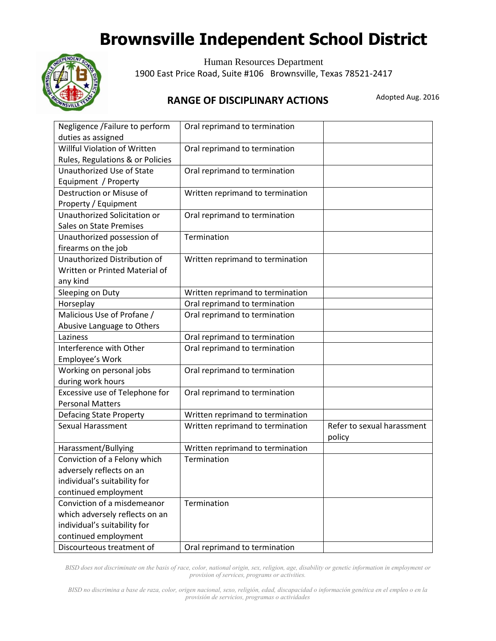# **Brownsville Independent School District**



Human Resources Department 1900 East Price Road, Suite #106 Brownsville, Texas 78521-2417

### Adopted Aug. 2016 **RANGE OF DISCIPLINARY ACTIONS**

| Negligence / Failure to perform<br>duties as assigned                      | Oral reprimand to termination    |                                      |
|----------------------------------------------------------------------------|----------------------------------|--------------------------------------|
| Willful Violation of Written<br>Rules, Regulations & or Policies           | Oral reprimand to termination    |                                      |
| Unauthorized Use of State<br>Equipment / Property                          | Oral reprimand to termination    |                                      |
| Destruction or Misuse of<br>Property / Equipment                           | Written reprimand to termination |                                      |
| Unauthorized Solicitation or<br><b>Sales on State Premises</b>             | Oral reprimand to termination    |                                      |
| Unauthorized possession of<br>firearms on the job                          | Termination                      |                                      |
| Unauthorized Distribution of<br>Written or Printed Material of<br>any kind | Written reprimand to termination |                                      |
| Sleeping on Duty                                                           | Written reprimand to termination |                                      |
| Horseplay                                                                  | Oral reprimand to termination    |                                      |
| Malicious Use of Profane /<br>Abusive Language to Others                   | Oral reprimand to termination    |                                      |
| Laziness                                                                   | Oral reprimand to termination    |                                      |
| Interference with Other<br>Employee's Work                                 | Oral reprimand to termination    |                                      |
| Working on personal jobs<br>during work hours                              | Oral reprimand to termination    |                                      |
| Excessive use of Telephone for<br><b>Personal Matters</b>                  | Oral reprimand to termination    |                                      |
| <b>Defacing State Property</b>                                             | Written reprimand to termination |                                      |
| Sexual Harassment                                                          | Written reprimand to termination | Refer to sexual harassment<br>policy |
| Harassment/Bullying                                                        | Written reprimand to termination |                                      |
| Conviction of a Felony which                                               | Termination                      |                                      |
| adversely reflects on an                                                   |                                  |                                      |
| individual's suitability for                                               |                                  |                                      |
| continued employment                                                       |                                  |                                      |
| Conviction of a misdemeanor                                                | Termination                      |                                      |
| which adversely reflects on an                                             |                                  |                                      |
| individual's suitability for                                               |                                  |                                      |
| continued employment                                                       |                                  |                                      |
| Discourteous treatment of                                                  | Oral reprimand to termination    |                                      |

*BISD does not discriminate on the basis of race, color, national origin, sex, religion, age, disability or genetic information in employment or provision of services, programs or activities.*

*BISD no discrimina a base de raza, color, origen nacional, sexo, religión, edad, discapacidad o información genética en el empleo o en la provisión de servicios, programas o actividades*